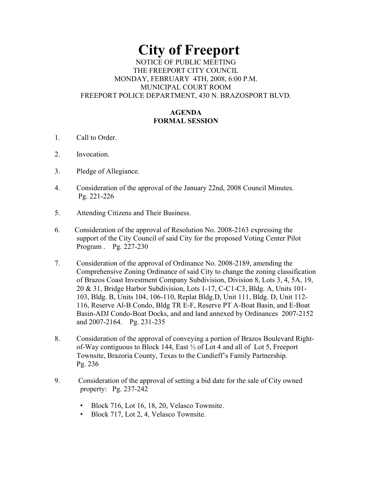# **City of Freeport**  NOTICE OF PUBLIC MEETING THE FREEPORT CITY COUNCIL MONDAY, FEBRUARY 4TH, 2008, 6:00 P.M. MUNICIPAL COURT ROOM

FREEPORT POLICE DEPARTMENT, 430 N. BRAZOSPORT BLVD.

## **AGENDA FORMAL SESSION**

- 1. Call to Order.
- 2. Invocation.
- 3. Pledge of Allegiance.
- 4. Consideration of the approval of the January 22nd, 2008 Council Minutes. Pg. 221-226
- 5. Attending Citizens and Their Business.
- 6. Consideration of the approval of Resolution No. 2008-2163 expressing the support of the City Council of said City for the proposed Voting Center Pilot Program . Pg. 227-230
- 7. Consideration of the approval of Ordinance No. 2008-2189, amending the Comprehensive Zoning Ordinance of said City to change the zoning classification of Brazos Coast Investment Company Subdivision, Division 8, Lots 3, 4, 5A, 19, 20 & 31, Bridge Harbor Subdivision, Lots 1-17, C-C1-C3, Bldg. A, Units 101- 103, Bldg. B, Units 104, 106-110, Replat Bldg.D, Unit 111, Bldg. D, Unit 112- 116, Reserve Al-B Condo, Bldg TR E-F, Reserve PT A-Boat Basin, and E-Boat Basin-ADJ Condo-Boat Docks, and and land annexed by Ordinances 2007-2152 and 2007-2164. Pg. 231-235
- 8. Consideration of the approval of conveying a portion of Brazos Boulevard Right of-Way contiguous to Block 144, East ½ of Lot 4 and all of Lot 5, Freeport Townsite, Brazoria County, Texas to the Cundieff's Family Partnership. Pg. 236
- 9. Consideration of the approval of setting a bid date for the sale of City owned property: Pg. 237-242
	- Block 716, Lot 16, 18, 20, Velasco Townsite.
	- Block 717, Lot 2, 4, Velasco Townsite.